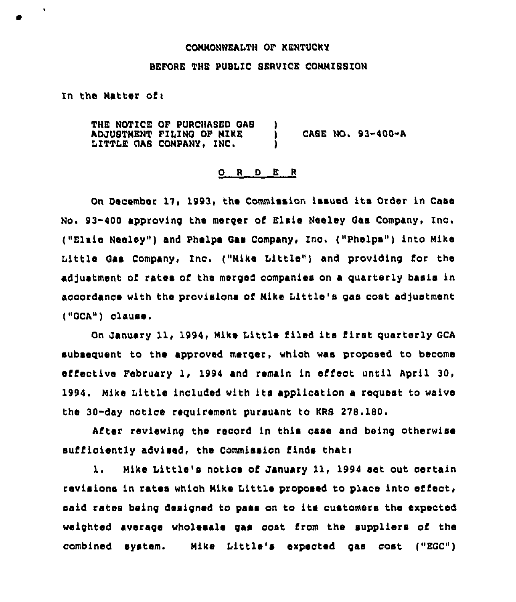#### CONNONWEALTH OF KENTUCKY

#### BEFORE THE WBLIC SERVICE COMMISSION

In the Natter of:

 $\ddot{\phantom{1}}$ 

THE NOTICE OF PURCHASED QAS ADJ(}STNEHT FILING OF NIKE ) CASE HO. 93-400-A LITTLE QAS COMPANY, INC, )

#### O R D E R

On December 17, 1993, the Commission issued its Order in Case No. 93-400 approving the merger of Elsie Neeley Gaa Company, Inc. ("Elsie Henley") and Phelps Qas Company, Inc. ("Phelps" ) into Mike Little Gas Company, Inc. ("Mike Little") and providing for the adjustment of rates of the merged companies on a quarterly basis in accordance with the provisions of Mike Little's gas cost adjustment ("GCA") clause.

On January 11, 1994, Mike Little filed its first quarterly GCA subsequent to the approved merger, which was proposed to become effective February 1, 1994 and remain in effect until April 30, 1994. Mike little included with its application <sup>a</sup> request to waive the 30-day notice requirement pursuant to KRS 278.180.

After reviewing the record in this case and being otherwise sufficiently advised, the Commission finds thati

l. Nike Little's notice of January 11, <sup>1994</sup> set out certain revisions in rates which Nike Little proposed to place into effect, said rates being designed to pass on to its customers the expected weighted average wholesale gas cost from the suppliers of the combined system. Mike Little's expected gas cost ("EGC")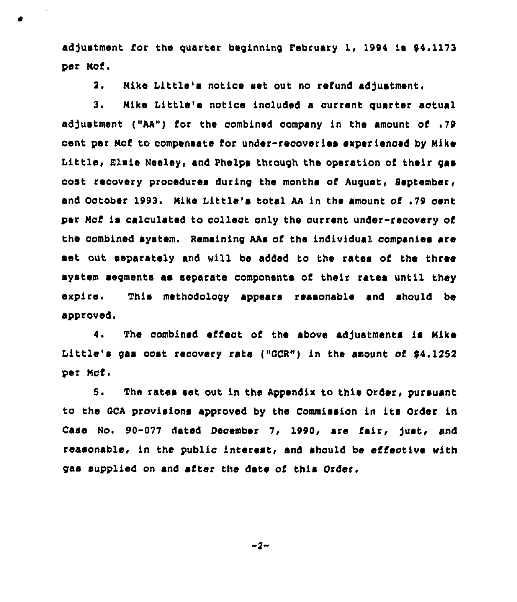adjustment for the quarter beginning February 1, 1994 is  $$4.1173$ per Nof.

2. Nike Little's notice set out no refund adjustment.

3. Nike Little's notice included a current quarter aotual «d3ustment ("AA") for the oombined company in the amount of .79 cent par Nof to compensate for under-recoveries experienced by Nike Little, Elzie Neeley, and Phelps through the operation of their gas coat recovery procedures during the months of August, September, and October 1993. Nike Little's total AA in the amount of .79 cent per Mcf is calculated to collect only the current under-recovery of the combined system. Remaining AAs of the individual companies are set out separately and will be added to the rates of the three system segments as separate components of their rates until they expire. This methodology appears reasonable and should be approved.

4. The combined effect of the above adjustments is Nike Little's gas cost recovery rate ("OCR") in the amount of \$4.<sup>1252</sup> per Ncf.

5. The rates set out in the Appendix to this Order, pursuant to the OCA provisions approved by the Commission in its Order in Case No. 90-077 dated December 7, 1990, are fair, just, and reasonable, in the public interest, and should be effective with gas supplied on and after the date of this Order.

 $-2-$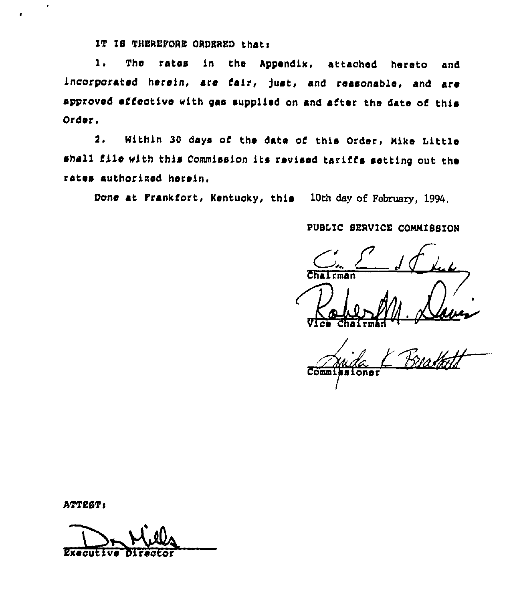IT IS THEREFORE ORDERED that:

rates in the Appendix, attached hereto 1. The and incorporated herein, are fair, just, and reasonable, and are approved effective with gas supplied on and after the date of this Order.

Within 30 days of the date of this Order, Mike Little  $2.$ shall file with this Commission its revised tariffs setting out the rates authorized herein.

Done at Frankfort, Kentucky, this 10th day of February, 1994.

## PUBLIC SERVICE COMMISSION

 $1$ rman

 $\overline{\text{Com}}$ sioner

ATTEST:

**Executatve**